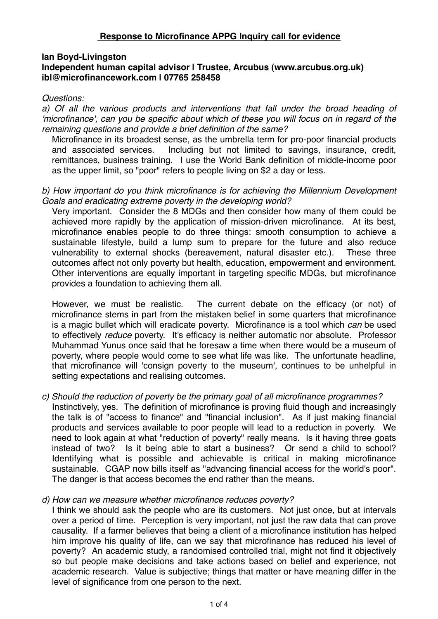# **Response to Microfinance APPG Inquiry call for evidence**

## **Ian Boyd-Livingston**

#### **Independent human capital advisor | Trustee, Arcubus (www.arcubus.org.uk) ibl@microfinancework.com | 07765 258458**

### *Questions:*

*a) Of all the various products and interventions that fall under the broad heading of 'microfinance', can you be specific about which of these you will focus on in regard of the remaining questions and provide a brief definition of the same?* 

Microfinance in its broadest sense, as the umbrella term for pro-poor financial products and associated services. Including but not limited to savings, insurance, credit, remittances, business training. I use the World Bank definition of middle-income poor as the upper limit, so "poor" refers to people living on \$2 a day or less.

## *b) How important do you think microfinance is for achieving the Millennium Development Goals and eradicating extreme poverty in the developing world?*

Very important. Consider the 8 MDGs and then consider how many of them could be achieved more rapidly by the application of mission-driven microfinance. At its best, microfinance enables people to do three things: smooth consumption to achieve a sustainable lifestyle, build a lump sum to prepare for the future and also reduce vulnerability to external shocks (bereavement, natural disaster etc.). These three outcomes affect not only poverty but health, education, empowerment and environment. Other interventions are equally important in targeting specific MDGs, but microfinance provides a foundation to achieving them all.

However, we must be realistic. The current debate on the efficacy (or not) of microfinance stems in part from the mistaken belief in some quarters that microfinance is a magic bullet which will eradicate poverty. Microfinance is a tool which *can* be used to effectively *reduce* poverty. It's efficacy is neither automatic nor absolute. Professor Muhammad Yunus once said that he foresaw a time when there would be a museum of poverty, where people would come to see what life was like. The unfortunate headline, that microfinance will 'consign poverty to the museum', continues to be unhelpful in setting expectations and realising outcomes.

#### *c) Should the reduction of poverty be the primary goal of all microfinance programmes?*  Instinctively, yes. The definition of microfinance is proving fluid though and increasingly the talk is of "access to finance" and "financial inclusion". As if just making financial products and services available to poor people will lead to a reduction in poverty. We need to look again at what "reduction of poverty" really means. Is it having three goats instead of two? Is it being able to start a business? Or send a child to school? Identifying what is possible and achievable is critical in making microfinance sustainable. CGAP now bills itself as "advancing financial access for the world's poor". The danger is that access becomes the end rather than the means.

### *d) How can we measure whether microfinance reduces poverty?*

I think we should ask the people who are its customers. Not just once, but at intervals over a period of time. Perception is very important, not just the raw data that can prove causality. If a farmer believes that being a client of a microfinance institution has helped him improve his quality of life, can we say that microfinance has reduced his level of poverty? An academic study, a randomised controlled trial, might not find it objectively so but people make decisions and take actions based on belief and experience, not academic research. Value is subjective; things that matter or have meaning differ in the level of significance from one person to the next.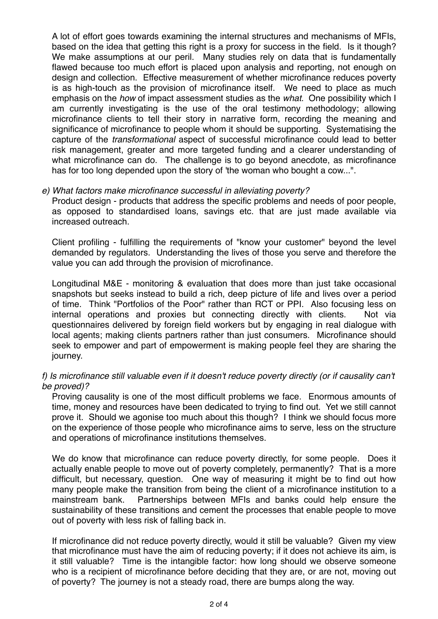A lot of effort goes towards examining the internal structures and mechanisms of MFIs, based on the idea that getting this right is a proxy for success in the field. Is it though? We make assumptions at our peril. Many studies rely on data that is fundamentally flawed because too much effort is placed upon analysis and reporting, not enough on design and collection. Effective measurement of whether microfinance reduces poverty is as high-touch as the provision of microfinance itself. We need to place as much emphasis on the *how* of impact assessment studies as the *what*. One possibility which I am currently investigating is the use of the oral testimony methodology; allowing microfinance clients to tell their story in narrative form, recording the meaning and significance of microfinance to people whom it should be supporting. Systematising the capture of the *transformational* aspect of successful microfinance could lead to better risk management, greater and more targeted funding and a clearer understanding of what microfinance can do. The challenge is to go beyond anecdote, as microfinance has for too long depended upon the story of 'the woman who bought a cow...".

### *e) What factors make microfinance successful in alleviating poverty?*

Product design - products that address the specific problems and needs of poor people, as opposed to standardised loans, savings etc. that are just made available via increased outreach.

Client profiling - fulfilling the requirements of "know your customer" beyond the level demanded by regulators. Understanding the lives of those you serve and therefore the value you can add through the provision of microfinance.

Longitudinal M&E - monitoring & evaluation that does more than just take occasional snapshots but seeks instead to build a rich, deep picture of life and lives over a period of time. Think "Portfolios of the Poor" rather than RCT or PPI. Also focusing less on internal operations and proxies but connecting directly with clients. Not via questionnaires delivered by foreign field workers but by engaging in real dialogue with local agents; making clients partners rather than just consumers. Microfinance should seek to empower and part of empowerment is making people feel they are sharing the journey.

# f) Is microfinance still valuable even if it doesn't reduce poverty directly (or if causality can't *be proved)?*

Proving causality is one of the most difficult problems we face. Enormous amounts of time, money and resources have been dedicated to trying to find out. Yet we still cannot prove it. Should we agonise too much about this though? I think we should focus more on the experience of those people who microfinance aims to serve, less on the structure and operations of microfinance institutions themselves.

We do know that microfinance can reduce poverty directly, for some people. Does it actually enable people to move out of poverty completely, permanently? That is a more difficult, but necessary, question. One way of measuring it might be to find out how many people make the transition from being the client of a microfinance institution to a mainstream bank. Partnerships between MFIs and banks could help ensure the sustainability of these transitions and cement the processes that enable people to move out of poverty with less risk of falling back in.

If microfinance did not reduce poverty directly, would it still be valuable? Given my view that microfinance must have the aim of reducing poverty; if it does not achieve its aim, is it still valuable? Time is the intangible factor: how long should we observe someone who is a recipient of microfinance before deciding that they are, or are not, moving out of poverty? The journey is not a steady road, there are bumps along the way.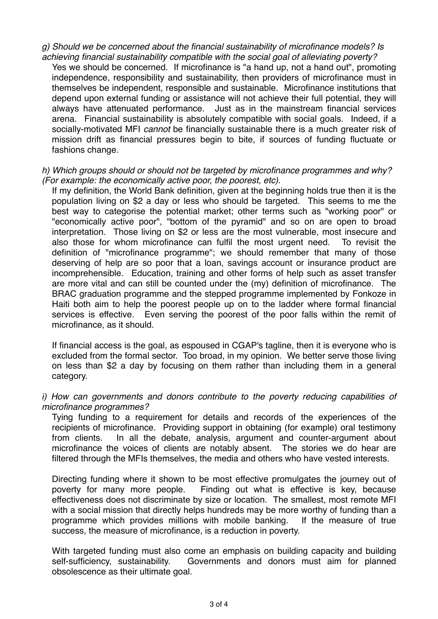*g) Should we be concerned about the financial sustainability of microfinance models? Is achieving financial sustainability compatible with the social goal of alleviating poverty?* 

Yes we should be concerned. If microfinance is "a hand up, not a hand out", promoting independence, responsibility and sustainability, then providers of microfinance must in themselves be independent, responsible and sustainable. Microfinance institutions that depend upon external funding or assistance will not achieve their full potential, they will always have attenuated performance. Just as in the mainstream financial services arena. Financial sustainability is absolutely compatible with social goals. Indeed, if a socially-motivated MFI *cannot* be financially sustainable there is a much greater risk of mission drift as financial pressures begin to bite, if sources of funding fluctuate or fashions change.

### *h) Which groups should or should not be targeted by microfinance programmes and why? (For example: the economically active poor, the poorest, etc).*

If my definition, the World Bank definition, given at the beginning holds true then it is the population living on \$2 a day or less who should be targeted. This seems to me the best way to categorise the potential market; other terms such as "working poor" or "economically active poor", "bottom of the pyramid" and so on are open to broad interpretation. Those living on \$2 or less are the most vulnerable, most insecure and also those for whom microfinance can fulfil the most urgent need. To revisit the definition of "microfinance programme"; we should remember that many of those deserving of help are so poor that a loan, savings account or insurance product are incomprehensible. Education, training and other forms of help such as asset transfer are more vital and can still be counted under the (my) definition of microfinance. The BRAC graduation programme and the stepped programme implemented by Fonkoze in Haiti both aim to help the poorest people up on to the ladder where formal financial services is effective. Even serving the poorest of the poor falls within the remit of microfinance, as it should.

If financial access is the goal, as espoused in CGAP's tagline, then it is everyone who is excluded from the formal sector. Too broad, in my opinion. We better serve those living on less than \$2 a day by focusing on them rather than including them in a general category.

#### *i) How can governments and donors contribute to the poverty reducing capabilities of microfinance programmes?*

Tying funding to a requirement for details and records of the experiences of the recipients of microfinance. Providing support in obtaining (for example) oral testimony from clients. In all the debate, analysis, argument and counter-argument about microfinance the voices of clients are notably absent. The stories we do hear are filtered through the MFIs themselves, the media and others who have vested interests.

Directing funding where it shown to be most effective promulgates the journey out of poverty for many more people. Finding out what is effective is key, because effectiveness does not discriminate by size or location. The smallest, most remote MFI with a social mission that directly helps hundreds may be more worthy of funding than a programme which provides millions with mobile banking. If the measure of true success, the measure of microfinance, is a reduction in poverty.

With targeted funding must also come an emphasis on building capacity and building self-sufficiency, sustainability. Governments and donors must aim for planned obsolescence as their ultimate goal.